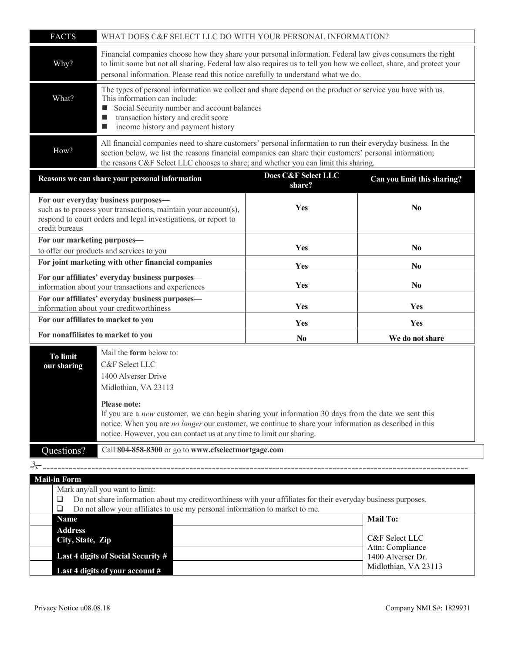| <b>FACTS</b>                                                                                                                                                                                                                                                      | WHAT DOES C&F SELECT LLC DO WITH YOUR PERSONAL INFORMATION?                                                                                                                                                                                                                                                                                                                                                       |                               |                             |  |  |
|-------------------------------------------------------------------------------------------------------------------------------------------------------------------------------------------------------------------------------------------------------------------|-------------------------------------------------------------------------------------------------------------------------------------------------------------------------------------------------------------------------------------------------------------------------------------------------------------------------------------------------------------------------------------------------------------------|-------------------------------|-----------------------------|--|--|
| Why?                                                                                                                                                                                                                                                              | Financial companies choose how they share your personal information. Federal law gives consumers the right<br>to limit some but not all sharing. Federal law also requires us to tell you how we collect, share, and protect your<br>personal information. Please read this notice carefully to understand what we do.                                                                                            |                               |                             |  |  |
| What?                                                                                                                                                                                                                                                             | The types of personal information we collect and share depend on the product or service you have with us.<br>This information can include:<br>Social Security number and account balances<br>transaction history and credit score<br>$\blacksquare$<br>income history and payment history<br>ш                                                                                                                    |                               |                             |  |  |
| How?                                                                                                                                                                                                                                                              | All financial companies need to share customers' personal information to run their everyday business. In the<br>section below, we list the reasons financial companies can share their customers' personal information;<br>the reasons C&F Select LLC chooses to share; and whether you can limit this sharing.                                                                                                   |                               |                             |  |  |
|                                                                                                                                                                                                                                                                   | Reasons we can share your personal information                                                                                                                                                                                                                                                                                                                                                                    | Does C&F Select LLC<br>share? | Can you limit this sharing? |  |  |
| credit bureaus                                                                                                                                                                                                                                                    | For our everyday business purposes-<br>such as to process your transactions, maintain your account(s),<br>respond to court orders and legal investigations, or report to                                                                                                                                                                                                                                          | Yes                           | N <sub>0</sub>              |  |  |
| For our marketing purposes-<br>to offer our products and services to you                                                                                                                                                                                          |                                                                                                                                                                                                                                                                                                                                                                                                                   | Yes                           | N <sub>0</sub>              |  |  |
| For joint marketing with other financial companies                                                                                                                                                                                                                |                                                                                                                                                                                                                                                                                                                                                                                                                   | Yes                           | N <sub>0</sub>              |  |  |
| For our affiliates' everyday business purposes-<br>information about your transactions and experiences                                                                                                                                                            |                                                                                                                                                                                                                                                                                                                                                                                                                   | Yes                           | N <sub>0</sub>              |  |  |
| For our affiliates' everyday business purposes-<br>information about your creditworthiness                                                                                                                                                                        |                                                                                                                                                                                                                                                                                                                                                                                                                   | Yes                           | Yes                         |  |  |
| For our affiliates to market to you                                                                                                                                                                                                                               |                                                                                                                                                                                                                                                                                                                                                                                                                   | Yes                           | Yes                         |  |  |
| For nonaffiliates to market to you                                                                                                                                                                                                                                |                                                                                                                                                                                                                                                                                                                                                                                                                   | N <sub>0</sub>                | We do not share             |  |  |
| <b>To limit</b><br>our sharing                                                                                                                                                                                                                                    | Mail the <b>form</b> below to:<br>C&F Select LLC<br>1400 Alverser Drive<br>Midlothian, VA 23113<br><b>Please note:</b><br>If you are a new customer, we can begin sharing your information 30 days from the date we sent this<br>notice. When you are no longer our customer, we continue to share your information as described in this<br>notice. However, you can contact us at any time to limit our sharing. |                               |                             |  |  |
|                                                                                                                                                                                                                                                                   |                                                                                                                                                                                                                                                                                                                                                                                                                   |                               |                             |  |  |
| Questions?                                                                                                                                                                                                                                                        | Call 804-858-8300 or go to www.cfselectmortgage.com                                                                                                                                                                                                                                                                                                                                                               |                               |                             |  |  |
|                                                                                                                                                                                                                                                                   |                                                                                                                                                                                                                                                                                                                                                                                                                   |                               |                             |  |  |
| <b>Mail-in Form</b><br>Mark any/all you want to limit:<br>Do not share information about my creditworthiness with your affiliates for their everyday business purposes.<br>⊔<br>Do not allow your affiliates to use my personal information to market to me.<br>⊔ |                                                                                                                                                                                                                                                                                                                                                                                                                   |                               |                             |  |  |
| <b>Mail To:</b><br>Name                                                                                                                                                                                                                                           |                                                                                                                                                                                                                                                                                                                                                                                                                   |                               |                             |  |  |

| Address<br>City, State, Zip        | C&F Select LLC                        |
|------------------------------------|---------------------------------------|
| Last 4 digits of Social Security # | Attn: Compliance<br>1400 Alverser Dr. |
| Last 4 digits of your account #    | Midlothian, VA 23113                  |